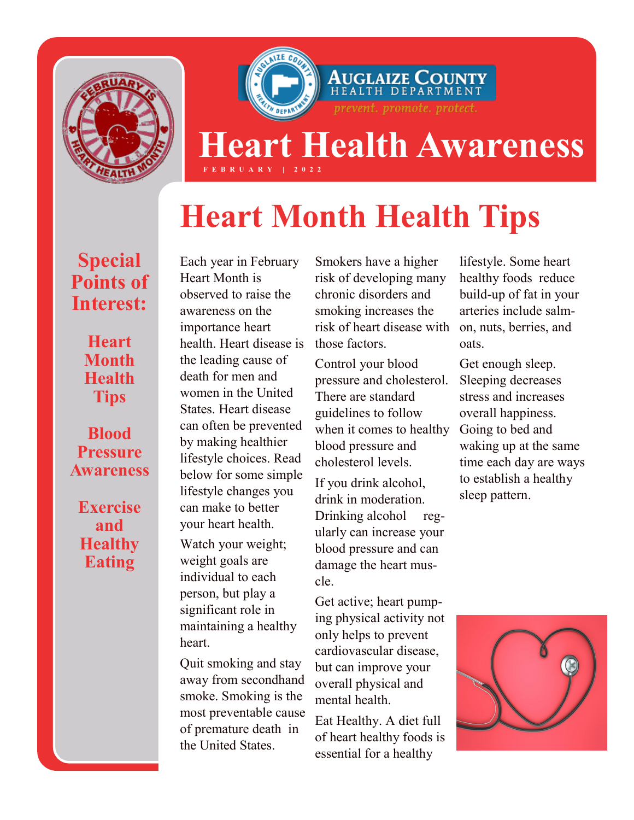

## **Heart Health Awareness F E B R U A R Y | 2 0 2 2**

AUGLAIZE COUNT!<br>health department

prevent. promote. protect.

# **Heart Month Health Tips**

#### **Special Points of Interest:**

**Heart Month Health Tips**

**Blood Pressure Awareness**

**Exercise and Healthy Eating**

Each year in February Heart Month is observed to raise the awareness on the importance heart health. Heart disease is the leading cause of death for men and women in the United States. Heart disease can often be prevented by making healthier lifestyle choices. Read below for some simple lifestyle changes you can make to better your heart health.

Watch your weight; weight goals are individual to each person, but play a significant role in maintaining a healthy heart.

Quit smoking and stay away from secondhand smoke. Smoking is the most preventable cause of premature death in the United States.

Smokers have a higher risk of developing many chronic disorders and smoking increases the risk of heart disease with those factors.

Control your blood pressure and cholesterol. There are standard guidelines to follow when it comes to healthy blood pressure and cholesterol levels.

If you drink alcohol, drink in moderation. Drinking alcohol regularly can increase your blood pressure and can damage the heart muscle.

Get active; heart pumping physical activity not only helps to prevent cardiovascular disease, but can improve your overall physical and mental health.

Eat Healthy. A diet full of heart healthy foods is essential for a healthy

lifestyle. Some heart healthy foods reduce build-up of fat in your arteries include salmon, nuts, berries, and oats.

Get enough sleep. Sleeping decreases stress and increases overall happiness. Going to bed and waking up at the same time each day are ways to establish a healthy sleep pattern.